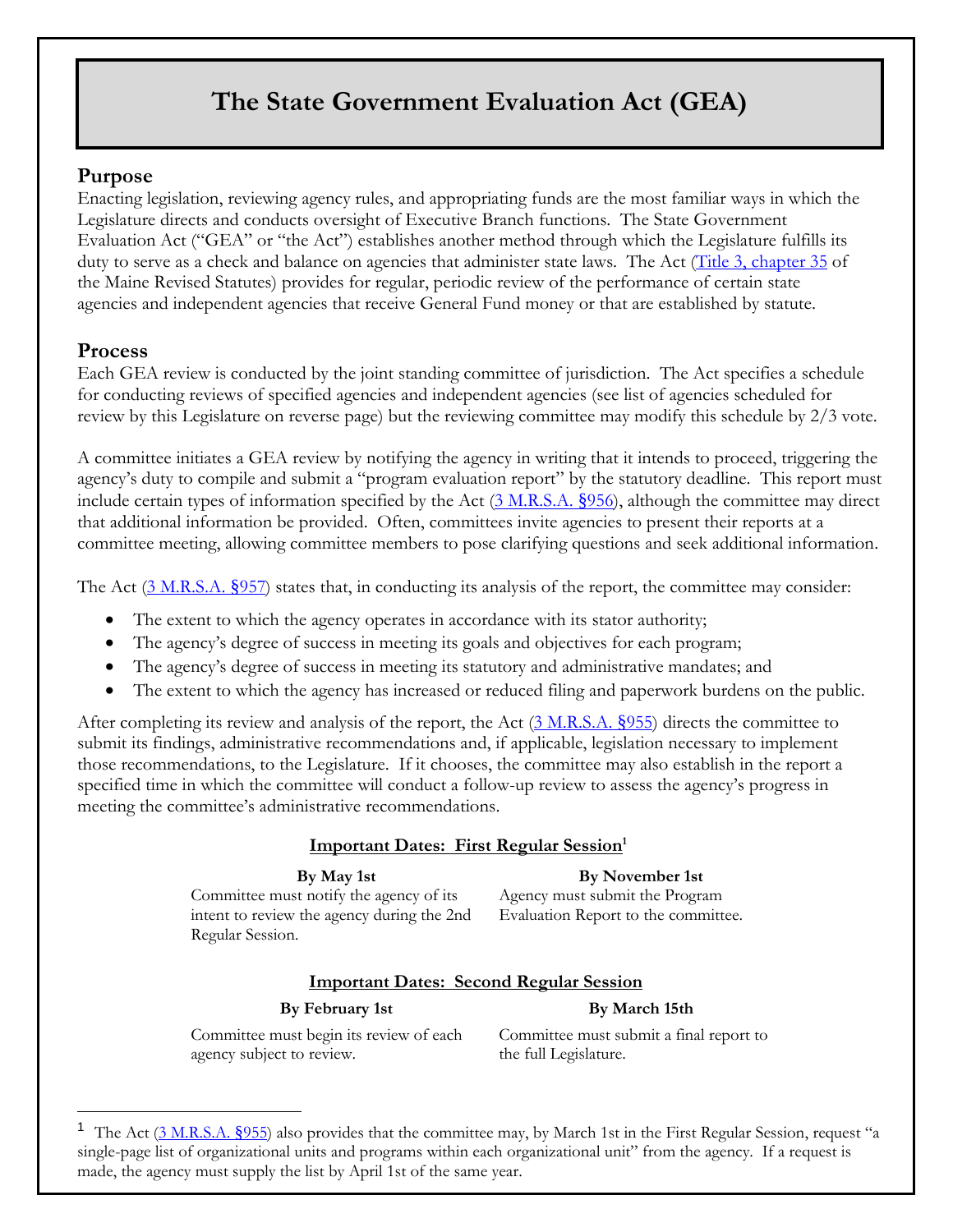# **The State Government Evaluation Act (GEA)**

# **Purpose**

Enacting legislation, reviewing agency rules, and appropriating funds are the most familiar ways in which the Legislature directs and conducts oversight of Executive Branch functions. The State Government Evaluation Act ("GEA" or "the Act") establishes another method through which the Legislature fulfills its duty to serve as a check and balance on agencies that administer state laws. The Act [\(Title 3, chapter 35](http://legislature.maine.gov/legis/statutes/3/title3ch35sec0.html) of the Maine Revised Statutes) provides for regular, periodic review of the performance of certain state agencies and independent agencies that receive General Fund money or that are established by statute.

# **Process**

l

Each GEA review is conducted by the joint standing committee of jurisdiction. The Act specifies a schedule for conducting reviews of specified agencies and independent agencies (see list of agencies scheduled for review by this Legislature on reverse page) but the reviewing committee may modify this schedule by 2/3 vote.

A committee initiates a GEA review by notifying the agency in writing that it intends to proceed, triggering the agency's duty to compile and submit a "program evaluation report" by the statutory deadline. This report must include certain types of information specified by the Act [\(3 M.R.S.A.](http://legislature.maine.gov/legis/statutes/3/title3sec956.html) §956), although the committee may direct that additional information be provided. Often, committees invite agencies to present their reports at a committee meeting, allowing committee members to pose clarifying questions and seek additional information.

The Act [\(3 M.R.S.A.](http://legislature.maine.gov/legis/statutes/3/title3sec957.html) §957) states that, in conducting its analysis of the report, the committee may consider:

- The extent to which the agency operates in accordance with its stator authority;
- The agency's degree of success in meeting its goals and objectives for each program;
- The agency's degree of success in meeting its statutory and administrative mandates; and
- The extent to which the agency has increased or reduced filing and paperwork burdens on the public.

After completing its review and analysis of the report, the Act  $(3 M.R.S.A. \frac{8955}{10})$  $(3 M.R.S.A. \frac{8955}{10})$  directs the committee to submit its findings, administrative recommendations and, if applicable, legislation necessary to implement those recommendations, to the Legislature. If it chooses, the committee may also establish in the report a specified time in which the committee will conduct a follow-up review to assess the agency's progress in meeting the committee's administrative recommendations.

### **Important Dates: First Regular Session<sup>1</sup>**

# **By May 1st By November 1st**

Committee must notify the agency of its intent to review the agency during the 2nd Regular Session.

Agency must submit the Program Evaluation Report to the committee.

# **Important Dates: Second Regular Session**

# **By February 1st By March 15th**

Committee must begin its review of each agency subject to review.

Committee must submit a final report to the full Legislature.

<sup>&</sup>lt;sup>1</sup> The Act [\(3 M.R.S.A.](http://legislature.maine.gov/legis/statutes/3/title3sec955.html) §955) also provides that the committee may, by March 1st in the First Regular Session, request "a single-page list of organizational units and programs within each organizational unit" from the agency. If a request is made, the agency must supply the list by April 1st of the same year.